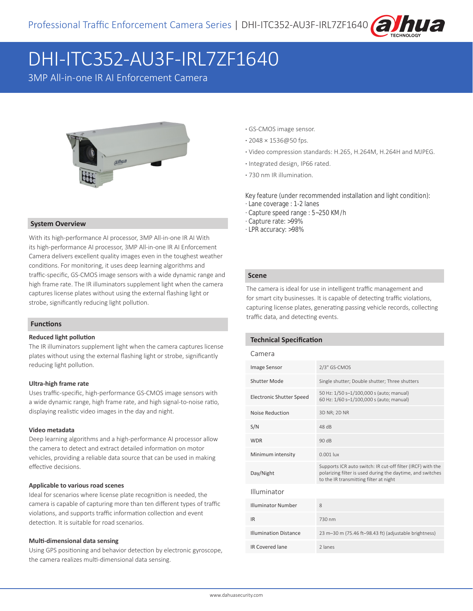

# DHI-ITC352-AU3F-IRL7ZF1640

3MP All-in-one IR AI Enforcement Camera



#### **System Overview**

With its high-performance AI processor, 3MP All-in-one IR AI With its high-performance AI processor, 3MP All-in-one IR AI Enforcement Camera delivers excellent quality images even in the toughest weather conditions. For monitoring, it uses deep learning algorithms and traffic-specific, GS-CMOS image sensors with a wide dynamic range and high frame rate. The IR illuminators supplement light when the camera captures license plates without using the external flashing light or strobe, significantly reducing light pollution.

#### **Functions**

#### **Reduced light pollution**

The IR illuminators supplement light when the camera captures license plates without using the external flashing light or strobe, significantly reducing light pollution.

#### **Ultra-high frame rate**

Uses traffic-specific, high-performance GS-CMOS image sensors with a wide dynamic range, high frame rate, and high signal-to-noise ratio, displaying realistic video images in the day and night.

#### **Video metadata**

Deep learning algorithms and a high-performance AI processor allow the camera to detect and extract detailed information on motor vehicles, providing a reliable data source that can be used in making effective decisions.

#### **Applicable to various road scenes**

Ideal for scenarios where license plate recognition is needed, the camera is capable of capturing more than ten different types of traffic violations, and supports traffic information collection and event detection. It is suitable for road scenarios.

#### **Multi-dimensional data sensing**

Using GPS positioning and behavior detection by electronic gyroscope, the camera realizes multi-dimensional data sensing.

- **·** GS-CMOS image sensor.
- **·** 2048 × 1536@50 fps.
- **·** Video compression standards: H.265, H.264M, H.264H and MJPEG.
- **·** Integrated design, IP66 rated.
- **·** 730 nm IR illumination.

Key feature (under recommended installation and light condition):

- · Lane coverage : 1-2 lanes
- · Capture speed range : 5~250 KM/h
- · Capture rate: >99%
- · LPR accuracy: >98%

#### **Scene**

The camera is ideal for use in intelligent traffic management and for smart city businesses. It is capable of detecting traffic violations, capturing license plates, generating passing vehicle records, collecting traffic data, and detecting events.

#### **Technical Specification**

| Camera                          |                                                                                                                                                                     |  |  |
|---------------------------------|---------------------------------------------------------------------------------------------------------------------------------------------------------------------|--|--|
| Image Sensor                    | 2/3" GS-CMOS                                                                                                                                                        |  |  |
| Shutter Mode                    | Single shutter; Double shutter; Three shutters                                                                                                                      |  |  |
| <b>Electronic Shutter Speed</b> | 50 Hz: 1/50 s-1/100,000 s (auto; manual)<br>60 Hz: 1/60 s-1/100,000 s (auto; manual)                                                                                |  |  |
| Noise Reduction                 | 3D NR; 2D NR                                                                                                                                                        |  |  |
| S/N                             | 48 <sub>dB</sub>                                                                                                                                                    |  |  |
| <b>WDR</b>                      | 90dB                                                                                                                                                                |  |  |
| Minimum intensity               | $0.001$ lux                                                                                                                                                         |  |  |
| Day/Night                       | Supports ICR auto switch: IR cut-off filter (IRCF) with the<br>polarizing filter is used during the daytime, and switches<br>to the IR transmitting filter at night |  |  |
| Illuminator                     |                                                                                                                                                                     |  |  |
| <b>Illuminator Number</b>       | 8                                                                                                                                                                   |  |  |
| <b>IR</b>                       | 730 nm                                                                                                                                                              |  |  |
| <b>Illumination Distance</b>    | 23 m-30 m (75.46 ft-98.43 ft) (adjustable brightness)                                                                                                               |  |  |
| <b>IR Covered lane</b>          | 2 lanes                                                                                                                                                             |  |  |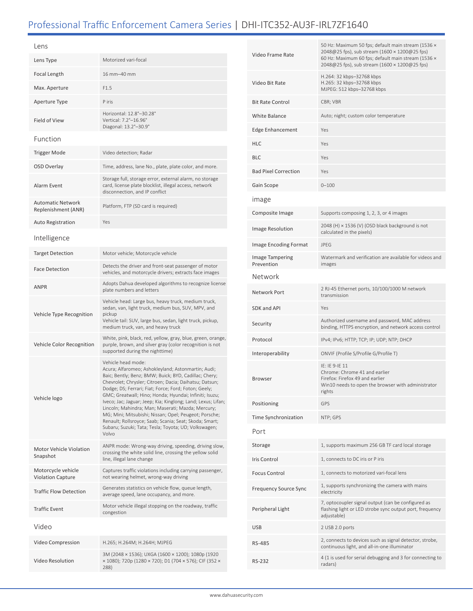## Professional Traffic Enforcement Camera Series | DHI-ITC352-AU3F-IRL7ZF1640

| Lens                                            |                                                                                                                                                                                                                                                                                                                                                                                                                                                                                                                                                                                                                        |  |
|-------------------------------------------------|------------------------------------------------------------------------------------------------------------------------------------------------------------------------------------------------------------------------------------------------------------------------------------------------------------------------------------------------------------------------------------------------------------------------------------------------------------------------------------------------------------------------------------------------------------------------------------------------------------------------|--|
| Lens Type                                       | Motorized vari-focal                                                                                                                                                                                                                                                                                                                                                                                                                                                                                                                                                                                                   |  |
| Focal Length                                    | 16 mm-40 mm                                                                                                                                                                                                                                                                                                                                                                                                                                                                                                                                                                                                            |  |
| Max. Aperture                                   | F1.5                                                                                                                                                                                                                                                                                                                                                                                                                                                                                                                                                                                                                   |  |
| Aperture Type                                   | P iris                                                                                                                                                                                                                                                                                                                                                                                                                                                                                                                                                                                                                 |  |
| Field of View                                   | Horizontal: 12.8°-30.28°<br>Vertical: 7.2°-16.96°<br>Diagonal: 13.2°-30.9°                                                                                                                                                                                                                                                                                                                                                                                                                                                                                                                                             |  |
| Function                                        |                                                                                                                                                                                                                                                                                                                                                                                                                                                                                                                                                                                                                        |  |
| <b>Trigger Mode</b>                             | Video detection; Radar                                                                                                                                                                                                                                                                                                                                                                                                                                                                                                                                                                                                 |  |
| OSD Overlay                                     | Time, address, lane No., plate, plate color, and more.                                                                                                                                                                                                                                                                                                                                                                                                                                                                                                                                                                 |  |
| Alarm Event                                     | Storage full, storage error, external alarm, no storage<br>card, license plate blocklist, illegal access, network<br>disconnection, and IP conflict                                                                                                                                                                                                                                                                                                                                                                                                                                                                    |  |
| <b>Automatic Network</b><br>Replenishment (ANR) | Platform, FTP (SD card is required)                                                                                                                                                                                                                                                                                                                                                                                                                                                                                                                                                                                    |  |
| <b>Auto Registration</b>                        | Yes                                                                                                                                                                                                                                                                                                                                                                                                                                                                                                                                                                                                                    |  |
| Intelligence                                    |                                                                                                                                                                                                                                                                                                                                                                                                                                                                                                                                                                                                                        |  |
| <b>Target Detection</b>                         | Motor vehicle; Motorcycle vehicle                                                                                                                                                                                                                                                                                                                                                                                                                                                                                                                                                                                      |  |
| <b>Face Detection</b>                           | Detects the driver and front-seat passenger of motor<br>vehicles, and motorcycle drivers; extracts face images                                                                                                                                                                                                                                                                                                                                                                                                                                                                                                         |  |
| <b>ANPR</b>                                     | Adopts Dahua developed algorithms to recognize license<br>plate numbers and letters                                                                                                                                                                                                                                                                                                                                                                                                                                                                                                                                    |  |
| Vehicle Type Recognition                        | Vehicle head: Large bus, heavy truck, medium truck,<br>sedan, van, light truck, medium bus, SUV, MPV, and<br>pickup<br>Vehicle tail: SUV, large bus, sedan, light truck, pickup,<br>medium truck, van, and heavy truck                                                                                                                                                                                                                                                                                                                                                                                                 |  |
| Vehicle Color Recognition                       | White, pink, black, red, yellow, gray, blue, green, orange,<br>purple, brown, and silver gray (color recognition is not<br>supported during the nighttime)                                                                                                                                                                                                                                                                                                                                                                                                                                                             |  |
| Vehicle logo                                    | Vehicle head mode:<br>Acura; Alfaromeo; Ashokleyland; Astonmartin; Audi;<br>Baic; Bently; Benz; BMW; Buick; BYD, Cadillac; Chery;<br>Chevrolet; Chrysler; Citroen; Dacia; Daihatsu; Datsun;<br>Dodge; DS; Ferrari; Fiat; Force; Ford; Foton; Geely;<br>GMC; Greatwall; Hino; Honda; Hyundai; Infiniti; Isuzu;<br>Iveco; Jac; Jaguar; Jeep; Kia; Kinglong; Land; Lexus; Lifan;<br>Lincoln; Mahindra; Man; Maserati; Mazda; Mercury;<br>MG; Mini; Mitsubishi; Nissan; Opel; Peugeot; Porsche;<br>Renault; Rollsroyce; Saab; Scania; Seat; Skoda; Smart;<br>Subaru; Suzuki; Tata; Tesla; Toyota; UD; Volkswagen;<br>Volvo |  |
| <b>Motor Vehicle Violation</b><br>Snapshot      | ANPR mode: Wrong-way driving, speeding, driving slow,<br>crossing the white solid line, crossing the yellow solid<br>line, illegal lane change                                                                                                                                                                                                                                                                                                                                                                                                                                                                         |  |
| Motorcycle vehicle<br><b>Violation Capture</b>  | Captures traffic violations including carrying passenger,<br>not wearing helmet, wrong-way driving                                                                                                                                                                                                                                                                                                                                                                                                                                                                                                                     |  |
| <b>Traffic Flow Detection</b>                   | Generates statistics on vehicle flow, queue length,<br>average speed, lane occupancy, and more.                                                                                                                                                                                                                                                                                                                                                                                                                                                                                                                        |  |
| <b>Traffic Event</b>                            | Motor vehicle illegal stopping on the roadway, traffic<br>congestion                                                                                                                                                                                                                                                                                                                                                                                                                                                                                                                                                   |  |
| Video                                           |                                                                                                                                                                                                                                                                                                                                                                                                                                                                                                                                                                                                                        |  |
| Video Compression                               | H.265; H.264M; H.264H; MJPEG                                                                                                                                                                                                                                                                                                                                                                                                                                                                                                                                                                                           |  |
| Video Resolution                                | 3M (2048 x 1536); UXGA (1600 x 1200); 1080p (1920<br>× 1080); 720p (1280 × 720); D1 (704 × 576); CIF (352 ×<br>288)                                                                                                                                                                                                                                                                                                                                                                                                                                                                                                    |  |

| Video Frame Rate              | 50 Hz: Maximum 50 fps; default main stream (1536 x<br>2048@25 fps), sub stream (1600 × 1200@25 fps)<br>60 Hz: Maximum 60 fps; default main stream (1536 x<br>2048@25 fps), sub stream (1600 × 1200@25 fps) |  |
|-------------------------------|------------------------------------------------------------------------------------------------------------------------------------------------------------------------------------------------------------|--|
| Video Bit Rate                | H.264: 32 kbps-32768 kbps<br>H.265: 32 kbps-32768 kbps<br>MJPEG: 512 kbps-32768 kbps                                                                                                                       |  |
| Bit Rate Control              | CBR; VBR                                                                                                                                                                                                   |  |
| <b>White Balance</b>          | Auto; night; custom color temperature                                                                                                                                                                      |  |
| <b>Edge Enhancement</b>       | Yes                                                                                                                                                                                                        |  |
| HLC                           | Yes                                                                                                                                                                                                        |  |
| BLC                           | Yes                                                                                                                                                                                                        |  |
| <b>Bad Pixel Correction</b>   | Yes                                                                                                                                                                                                        |  |
| Gain Scope                    | $0 - 100$                                                                                                                                                                                                  |  |
| <b>Image</b>                  |                                                                                                                                                                                                            |  |
| Composite Image               | Supports composing 1, 2, 3, or 4 images                                                                                                                                                                    |  |
| Image Resolution              | 2048 (H) $\times$ 1536 (V) (OSD black background is not<br>calculated in the pixels)                                                                                                                       |  |
| Image Encoding Format         | <b>JPEG</b>                                                                                                                                                                                                |  |
| Image Tampering<br>Prevention | Watermark and verification are available for videos and<br>images                                                                                                                                          |  |
| Network                       |                                                                                                                                                                                                            |  |
| Network Port                  | 2 RJ-45 Ethernet ports, 10/100/1000 M network<br>transmission                                                                                                                                              |  |
| SDK and API                   | Yes                                                                                                                                                                                                        |  |
| Security                      | Authorized username and password, MAC address<br>binding, HTTPS encryption, and network access control                                                                                                     |  |
| Protocol                      | IPv4; IPv6; HTTP; TCP; IP; UDP; NTP; DHCP                                                                                                                                                                  |  |
| Interoperability              | ONVIF (Profile S/Profile G/Profile T)                                                                                                                                                                      |  |
| Browser                       | IE: IE 9-IE 11<br>Chrome: Chrome 41 and earlier<br>Firefox: Firefox 49 and earlier<br>Win10 needs to open the browser with administrator<br>rights                                                         |  |
| Positioning                   | GPS                                                                                                                                                                                                        |  |
| Time Synchronization          | NTP; GPS                                                                                                                                                                                                   |  |
| Port                          |                                                                                                                                                                                                            |  |
| Storage                       | 1, supports maximum 256 GB TF card local storage                                                                                                                                                           |  |
| Iris Control                  | 1, connects to DC iris or P iris                                                                                                                                                                           |  |
| <b>Focus Control</b>          | 1, connects to motorized vari-focal lens                                                                                                                                                                   |  |
| <b>Frequency Source Sync</b>  | 1, supports synchronizing the camera with mains<br>electricity                                                                                                                                             |  |
| Peripheral Light              | 7, optocoupler signal output (can be configured as<br>flashing light or LED strobe sync output port, frequency<br>adjustable)                                                                              |  |
|                               |                                                                                                                                                                                                            |  |
| USB                           | 2 USB 2.0 ports                                                                                                                                                                                            |  |
| RS-485                        | 2, connects to devices such as signal detector, strobe,<br>continuous light, and all-in-one illuminator                                                                                                    |  |